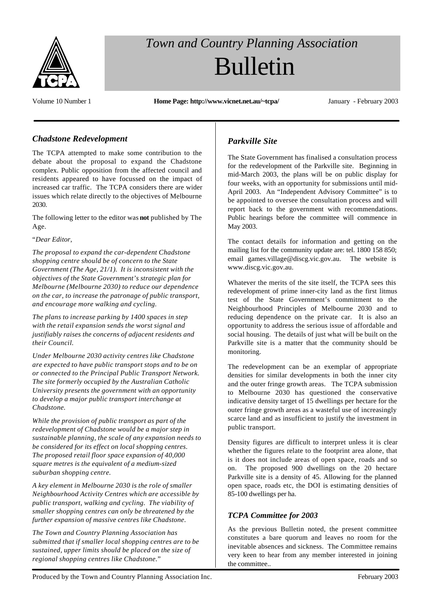

# *Town and Country Planning Association* Bulletin

Volume 10 Number 1 **Home Page: http://www.vicnet.net.au/~tcpa/** January - February 2003

## *Chadstone Redevelopment*

The TCPA attempted to make some contribution to the debate about the proposal to expand the Chadstone complex. Public opposition from the affected council and residents appeared to have focussed on the impact of increased car traffic. The TCPA considers there are wider issues which relate directly to the objectives of Melbourne 2030.

The following letter to the editor was **not** published by The Age.

#### "*Dear Editor,*

*The proposal to expand the car-dependent Chadstone shopping centre should be of concern to the State Government (The Age, 21/1). It is inconsistent with the objectives of the State Government's strategic plan for Melbourne (Melbourne 2030) to reduce our dependence on the car, to increase the patronage of public transport, and encourage more walking and cycling.*

*The plans to increase parking by 1400 spaces in step with the retail expansion sends the worst signal and justifiably raises the concerns of adjacent residents and their Council.*

*Under Melbourne 2030 activity centres like Chadstone are expected to have public transport stops and to be on or connected to the Principal Public Transport Network. The site formerly occupied by the Australian Catholic University presents the government with an opportunity to develop a major public transport interchange at Chadstone.*

*While the provision of public transport as part of the redevelopment of Chadstone would be a major step in sustainable planning, the scale of any expansion needs to be considered for its effect on local shopping centres. The proposed retail floor space expansion of 40,000 square metres is the equivalent of a medium-sized suburban shopping centre.*

*A key element in Melbourne 2030 is the role of smaller Neighbourhood Activity Centres which are accessible by public transport, walking and cycling. The viability of smaller shopping centres can only be threatened by the further expansion of massive centres like Chadstone.*

*The Town and Country Planning Association has submitted that if smaller local shopping centres are to be sustained, upper limits should be placed on the size of regional shopping centres like Chadstone.*"

## *Parkville Site*

The State Government has finalised a consultation process for the redevelopment of the Parkville site. Beginning in mid-March 2003, the plans will be on public display for four weeks, with an opportunity for submissions until mid-April 2003. An "Independent Advisory Committee" is to be appointed to oversee the consultation process and will report back to the government with recommendations. Public hearings before the committee will commence in May 2003.

The contact details for information and getting on the mailing list for the community update are: tel. 1800 158 850; email games.village@discg.vic.gov.au. The website is www.discg.vic.gov.au.

Whatever the merits of the site itself, the TCPA sees this redevelopment of prime inner-city land as the first litmus test of the State Government's commitment to the Neighbourhood Principles of Melbourne 2030 and to reducing dependence on the private car. It is also an opportunity to address the serious issue of affordable and social housing. The details of just what will be built on the Parkville site is a matter that the community should be monitoring.

The redevelopment can be an exemplar of appropriate densities for similar developments in both the inner city and the outer fringe growth areas. The TCPA submission to Melbourne 2030 has questioned the conservative indicative density target of 15 dwellings per hectare for the outer fringe growth areas as a wasteful use of increasingly scarce land and as insufficient to justify the investment in public transport.

Density figures are difficult to interpret unless it is clear whether the figures relate to the footprint area alone, that is it does not include areas of open space, roads and so on. The proposed 900 dwellings on the 20 hectare Parkville site is a density of 45. Allowing for the planned open space, roads etc, the DOI is estimating densities of 85-100 dwellings per ha.

## *TCPA Committee for 2003*

As the previous Bulletin noted, the present committee constitutes a bare quorum and leaves no room for the inevitable absences and sickness. The Committee remains very keen to hear from any member interested in joining the committee..